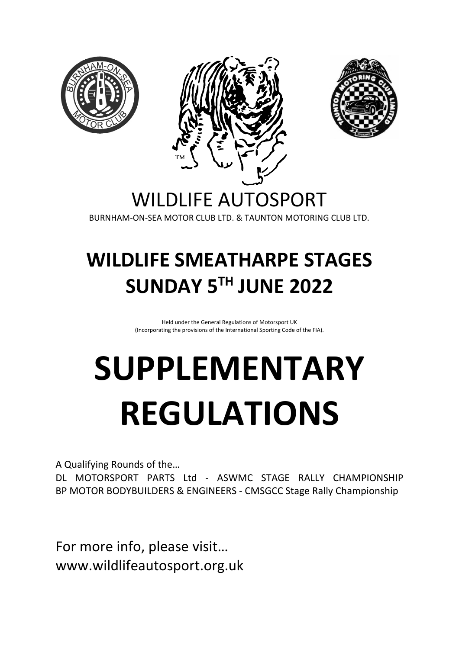





## WILDLIFE AUTOSPORT

BURNHAM-ON-SEA MOTOR CLUB LTD. & TAUNTON MOTORING CLUB LTD.

## **WILDLIFE SMEATHARPE STAGES SUNDAY 5TH JUNE 2022**

Held under the General Regulations of Motorsport UK (Incorporating the provisions of the International Sporting Code of the FIA).

# **SUPPLEMENTARY REGULATIONS**

A Qualifying Rounds of the…

DL MOTORSPORT PARTS Ltd - ASWMC STAGE RALLY CHAMPIONSHIP BP MOTOR BODYBUILDERS & ENGINEERS - CMSGCC Stage Rally Championship

For more info, please visit… www.wildlifeautosport.org.uk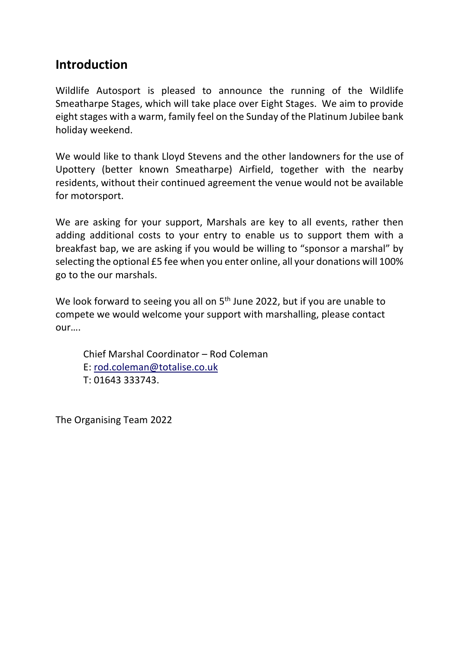### **Introduction**

Wildlife Autosport is pleased to announce the running of the Wildlife Smeatharpe Stages, which will take place over Eight Stages. We aim to provide eight stages with a warm, family feel on the Sunday of the Platinum Jubilee bank holiday weekend.

We would like to thank Lloyd Stevens and the other landowners for the use of Upottery (better known Smeatharpe) Airfield, together with the nearby residents, without their continued agreement the venue would not be available for motorsport.

We are asking for your support, Marshals are key to all events, rather then adding additional costs to your entry to enable us to support them with a breakfast bap, we are asking if you would be willing to "sponsor a marshal" by selecting the optional £5 fee when you enter online, all your donations will 100% go to the our marshals.

We look forward to seeing you all on 5<sup>th</sup> June 2022, but if you are unable to compete we would welcome your support with marshalling, please contact our….

Chief Marshal Coordinator – Rod Coleman E: rod.coleman@totalise.co.uk T: 01643 333743.

The Organising Team 2022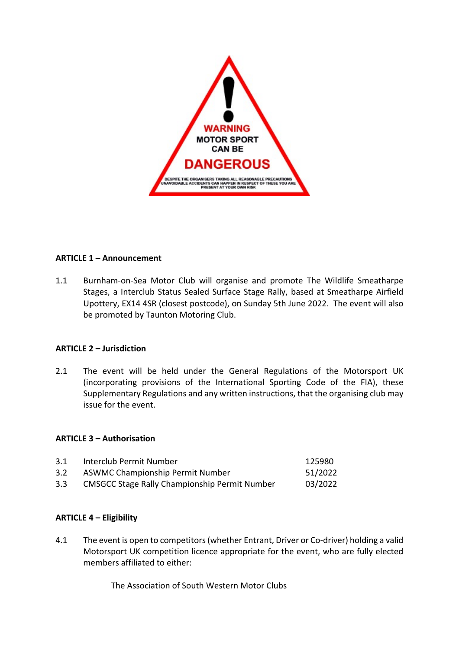

#### **ARTICLE 1 – Announcement**

1.1 Burnham-on-Sea Motor Club will organise and promote The Wildlife Smeatharpe Stages, a Interclub Status Sealed Surface Stage Rally, based at Smeatharpe Airfield Upottery, EX14 4SR (closest postcode), on Sunday 5th June 2022. The event will also be promoted by Taunton Motoring Club.

#### **ARTICLE 2 – Jurisdiction**

2.1 The event will be held under the General Regulations of the Motorsport UK (incorporating provisions of the International Sporting Code of the FIA), these Supplementary Regulations and any written instructions, that the organising club may issue for the event.

#### **ARTICLE 3 – Authorisation**

| 3.1 | Interclub Permit Number                              | 125980  |
|-----|------------------------------------------------------|---------|
| 3.2 | <b>ASWMC Championship Permit Number</b>              | 51/2022 |
| 3.3 | <b>CMSGCC Stage Rally Championship Permit Number</b> | 03/2022 |

#### **ARTICLE 4 – Eligibility**

4.1 The event is open to competitors (whether Entrant, Driver or Co-driver) holding a valid Motorsport UK competition licence appropriate for the event, who are fully elected members affiliated to either:

The Association of South Western Motor Clubs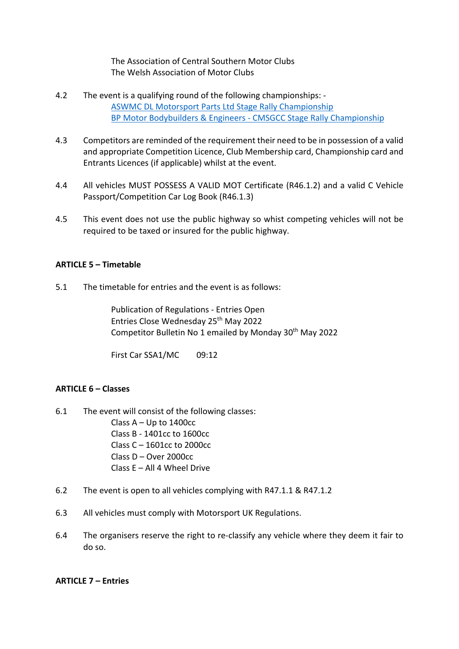The Association of Central Southern Motor Clubs The Welsh Association of Motor Clubs

- 4.2 The event is a qualifying round of the following championships: ASWMC DL Motorsport Parts Ltd Stage Rally Championship BP Motor Bodybuilders & Engineers - CMSGCC Stage Rally Championship
- 4.3 Competitors are reminded of the requirement their need to be in possession of a valid and appropriate Competition Licence, Club Membership card, Championship card and Entrants Licences (if applicable) whilst at the event.
- 4.4 All vehicles MUST POSSESS A VALID MOT Certificate (R46.1.2) and a valid C Vehicle Passport/Competition Car Log Book (R46.1.3)
- 4.5 This event does not use the public highway so whist competing vehicles will not be required to be taxed or insured for the public highway.

#### **ARTICLE 5 – Timetable**

5.1 The timetable for entries and the event is as follows:

Publication of Regulations - Entries Open Entries Close Wednesday 25th May 2022 Competitor Bulletin No 1 emailed by Monday 30th May 2022

First Car SSA1/MC 09:12

#### **ARTICLE 6 – Classes**

- 6.1 The event will consist of the following classes:
	- Class A Up to 1400cc Class B - 1401cc to 1600cc Class C – 1601cc to 2000cc Class D – Over 2000cc Class E – All 4 Wheel Drive
- 6.2 The event is open to all vehicles complying with R47.1.1 & R47.1.2
- 6.3 All vehicles must comply with Motorsport UK Regulations.
- 6.4 The organisers reserve the right to re-classify any vehicle where they deem it fair to do so.

#### **ARTICLE 7 – Entries**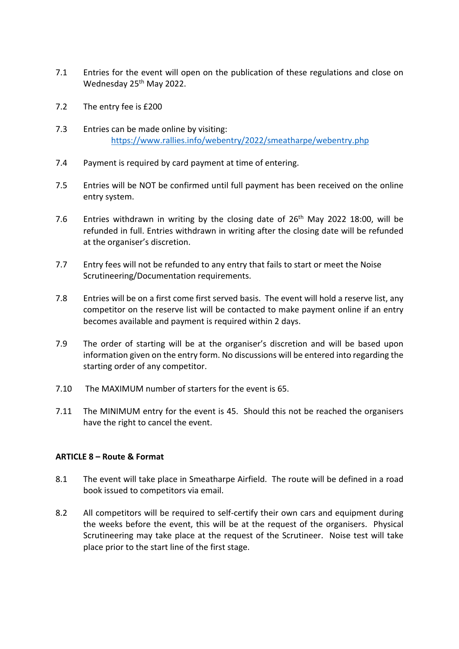- 7.1 Entries for the event will open on the publication of these regulations and close on Wednesday 25<sup>th</sup> May 2022.
- 7.2 The entry fee is £200
- 7.3 Entries can be made online by visiting: https://www.rallies.info/webentry/2022/smeatharpe/webentry.php
- 7.4 Payment is required by card payment at time of entering.
- 7.5 Entries will be NOT be confirmed until full payment has been received on the online entry system.
- 7.6 Entries withdrawn in writing by the closing date of  $26<sup>th</sup>$  May 2022 18:00, will be refunded in full. Entries withdrawn in writing after the closing date will be refunded at the organiser's discretion.
- 7.7 Entry fees will not be refunded to any entry that fails to start or meet the Noise Scrutineering/Documentation requirements.
- 7.8 Entries will be on a first come first served basis. The event will hold a reserve list, any competitor on the reserve list will be contacted to make payment online if an entry becomes available and payment is required within 2 days.
- 7.9 The order of starting will be at the organiser's discretion and will be based upon information given on the entry form. No discussions will be entered into regarding the starting order of any competitor.
- 7.10 The MAXIMUM number of starters for the event is 65.
- 7.11 The MINIMUM entry for the event is 45. Should this not be reached the organisers have the right to cancel the event.

#### **ARTICLE 8 – Route & Format**

- 8.1 The event will take place in Smeatharpe Airfield. The route will be defined in a road book issued to competitors via email.
- 8.2 All competitors will be required to self-certify their own cars and equipment during the weeks before the event, this will be at the request of the organisers. Physical Scrutineering may take place at the request of the Scrutineer. Noise test will take place prior to the start line of the first stage.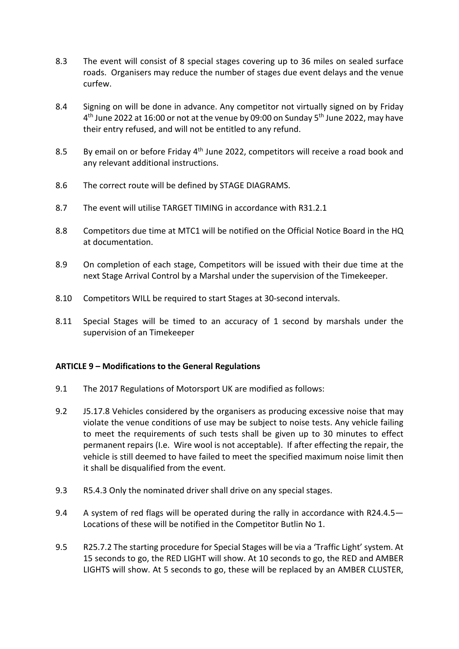- 8.3 The event will consist of 8 special stages covering up to 36 miles on sealed surface roads. Organisers may reduce the number of stages due event delays and the venue curfew.
- 8.4 Signing on will be done in advance. Any competitor not virtually signed on by Friday  $4<sup>th</sup>$  June 2022 at 16:00 or not at the venue by 09:00 on Sunday 5<sup>th</sup> June 2022, may have their entry refused, and will not be entitled to any refund.
- 8.5 By email on or before Friday 4<sup>th</sup> June 2022, competitors will receive a road book and any relevant additional instructions.
- 8.6 The correct route will be defined by STAGE DIAGRAMS.
- 8.7 The event will utilise TARGET TIMING in accordance with R31.2.1
- 8.8 Competitors due time at MTC1 will be notified on the Official Notice Board in the HQ at documentation.
- 8.9 On completion of each stage, Competitors will be issued with their due time at the next Stage Arrival Control by a Marshal under the supervision of the Timekeeper.
- 8.10 Competitors WILL be required to start Stages at 30-second intervals.
- 8.11 Special Stages will be timed to an accuracy of 1 second by marshals under the supervision of an Timekeeper

#### **ARTICLE 9 – Modifications to the General Regulations**

- 9.1 The 2017 Regulations of Motorsport UK are modified as follows:
- 9.2 J5.17.8 Vehicles considered by the organisers as producing excessive noise that may violate the venue conditions of use may be subject to noise tests. Any vehicle failing to meet the requirements of such tests shall be given up to 30 minutes to effect permanent repairs (I.e. Wire wool is not acceptable). If after effecting the repair, the vehicle is still deemed to have failed to meet the specified maximum noise limit then it shall be disqualified from the event.
- 9.3 R5.4.3 Only the nominated driver shall drive on any special stages.
- 9.4 A system of red flags will be operated during the rally in accordance with R24.4.5– Locations of these will be notified in the Competitor Butlin No 1.
- 9.5 R25.7.2 The starting procedure for Special Stages will be via a 'Traffic Light' system. At 15 seconds to go, the RED LIGHT will show. At 10 seconds to go, the RED and AMBER LIGHTS will show. At 5 seconds to go, these will be replaced by an AMBER CLUSTER,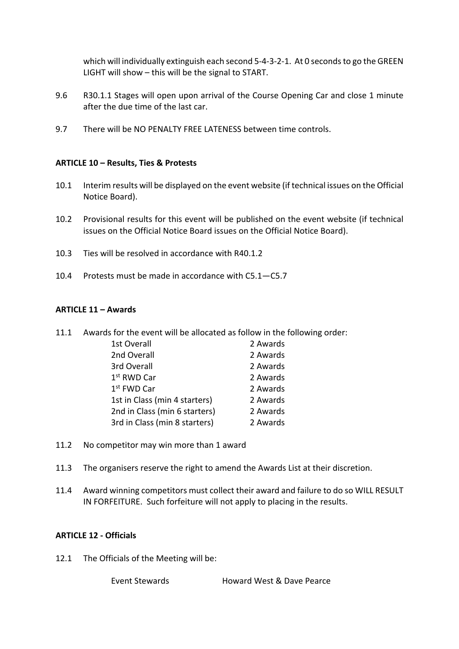which will individually extinguish each second 5-4-3-2-1. At 0 seconds to go the GREEN LIGHT will show – this will be the signal to START.

- 9.6 R30.1.1 Stages will open upon arrival of the Course Opening Car and close 1 minute after the due time of the last car.
- 9.7 There will be NO PENALTY FREE LATENESS between time controls.

#### **ARTICLE 10 – Results, Ties & Protests**

- 10.1 Interim results will be displayed on the event website (if technical issues on the Official Notice Board).
- 10.2 Provisional results for this event will be published on the event website (if technical issues on the Official Notice Board issues on the Official Notice Board).
- 10.3 Ties will be resolved in accordance with R40.1.2
- 10.4 Protests must be made in accordance with C5.1—C5.7

#### **ARTICLE 11 – Awards**

11.1 Awards for the event will be allocated as follow in the following order:

| 2 Awards |
|----------|
| 2 Awards |
| 2 Awards |
| 2 Awards |
| 2 Awards |
| 2 Awards |
| 2 Awards |
| 2 Awards |
|          |

- 11.2 No competitor may win more than 1 award
- 11.3 The organisers reserve the right to amend the Awards List at their discretion.
- 11.4 Award winning competitors must collect their award and failure to do so WILL RESULT IN FORFEITURE. Such forfeiture will not apply to placing in the results.

#### **ARTICLE 12 - Officials**

12.1 The Officials of the Meeting will be:

Event Stewards Howard West & Dave Pearce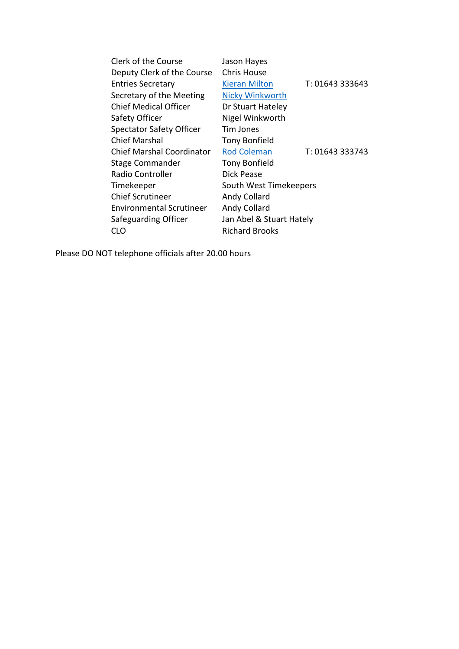| Clerk of the Course              | Jason Hayes              |                 |  |
|----------------------------------|--------------------------|-----------------|--|
| Deputy Clerk of the Course       | <b>Chris House</b>       |                 |  |
| <b>Entries Secretary</b>         | <b>Kieran Milton</b>     | T: 01643 333643 |  |
| Secretary of the Meeting         | <b>Nicky Winkworth</b>   |                 |  |
| <b>Chief Medical Officer</b>     | Dr Stuart Hateley        |                 |  |
| Safety Officer                   | Nigel Winkworth          |                 |  |
| <b>Spectator Safety Officer</b>  | Tim Jones                |                 |  |
| <b>Chief Marshal</b>             | <b>Tony Bonfield</b>     |                 |  |
| <b>Chief Marshal Coordinator</b> | <b>Rod Coleman</b>       | T: 01643 333743 |  |
| <b>Stage Commander</b>           | <b>Tony Bonfield</b>     |                 |  |
| Radio Controller                 | Dick Pease               |                 |  |
| Timekeeper                       | South West Timekeepers   |                 |  |
| <b>Chief Scrutineer</b>          | <b>Andy Collard</b>      |                 |  |
| <b>Environmental Scrutineer</b>  | <b>Andy Collard</b>      |                 |  |
| Safeguarding Officer             | Jan Abel & Stuart Hately |                 |  |
| CLO                              | <b>Richard Brooks</b>    |                 |  |
|                                  |                          |                 |  |

Please DO NOT telephone officials after 20.00 hours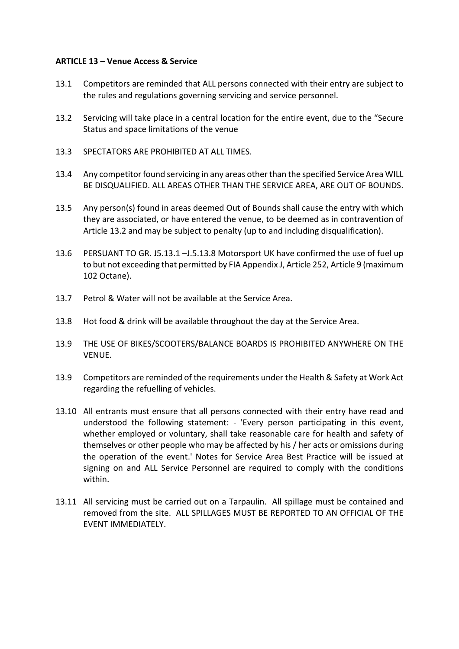#### **ARTICLE 13 – Venue Access & Service**

- 13.1 Competitors are reminded that ALL persons connected with their entry are subject to the rules and regulations governing servicing and service personnel.
- 13.2 Servicing will take place in a central location for the entire event, due to the "Secure Status and space limitations of the venue
- 13.3 SPECTATORS ARE PROHIBITED AT ALL TIMES.
- 13.4 Any competitor found servicing in any areas other than the specified Service Area WILL BE DISQUALIFIED. ALL AREAS OTHER THAN THE SERVICE AREA, ARE OUT OF BOUNDS.
- 13.5 Any person(s) found in areas deemed Out of Bounds shall cause the entry with which they are associated, or have entered the venue, to be deemed as in contravention of Article 13.2 and may be subject to penalty (up to and including disqualification).
- 13.6 PERSUANT TO GR. J5.13.1 –J.5.13.8 Motorsport UK have confirmed the use of fuel up to but not exceeding that permitted by FIA Appendix J, Article 252, Article 9 (maximum 102 Octane).
- 13.7 Petrol & Water will not be available at the Service Area.
- 13.8 Hot food & drink will be available throughout the day at the Service Area.
- 13.9 THE USE OF BIKES/SCOOTERS/BALANCE BOARDS IS PROHIBITED ANYWHERE ON THE VENUE.
- 13.9 Competitors are reminded of the requirements under the Health & Safety at Work Act regarding the refuelling of vehicles.
- 13.10 All entrants must ensure that all persons connected with their entry have read and understood the following statement: - 'Every person participating in this event, whether employed or voluntary, shall take reasonable care for health and safety of themselves or other people who may be affected by his / her acts or omissions during the operation of the event.' Notes for Service Area Best Practice will be issued at signing on and ALL Service Personnel are required to comply with the conditions within.
- 13.11 All servicing must be carried out on a Tarpaulin. All spillage must be contained and removed from the site. ALL SPILLAGES MUST BE REPORTED TO AN OFFICIAL OF THE EVENT IMMEDIATELY.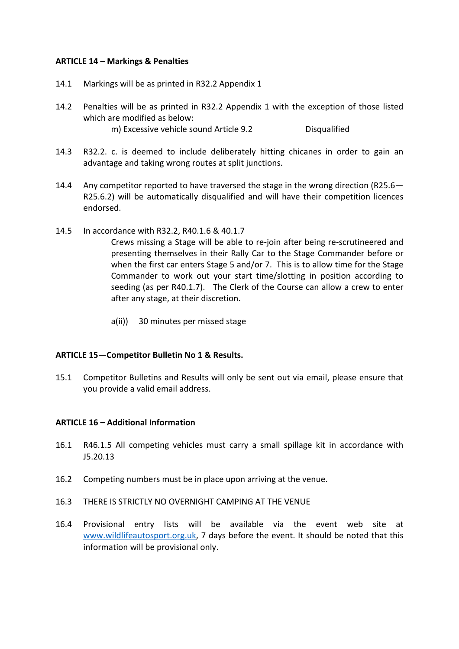#### **ARTICLE 14 – Markings & Penalties**

- 14.1 Markings will be as printed in R32.2 Appendix 1
- 14.2 Penalties will be as printed in R32.2 Appendix 1 with the exception of those listed which are modified as below: m) Excessive vehicle sound Article 9.2 Disqualified
- 14.3 R32.2. c. is deemed to include deliberately hitting chicanes in order to gain an advantage and taking wrong routes at split junctions.
- 14.4 Any competitor reported to have traversed the stage in the wrong direction (R25.6— R25.6.2) will be automatically disqualified and will have their competition licences endorsed.
- 14.5 In accordance with R32.2, R40.1.6 & 40.1.7

Crews missing a Stage will be able to re-join after being re-scrutineered and presenting themselves in their Rally Car to the Stage Commander before or when the first car enters Stage 5 and/or 7. This is to allow time for the Stage Commander to work out your start time/slotting in position according to seeding (as per R40.1.7). The Clerk of the Course can allow a crew to enter after any stage, at their discretion.

a(ii)) 30 minutes per missed stage

#### **ARTICLE 15—Competitor Bulletin No 1 & Results.**

15.1 Competitor Bulletins and Results will only be sent out via email, please ensure that you provide a valid email address.

#### **ARTICLE 16 – Additional Information**

- 16.1 R46.1.5 All competing vehicles must carry a small spillage kit in accordance with J5.20.13
- 16.2 Competing numbers must be in place upon arriving at the venue.
- 16.3 THERE IS STRICTLY NO OVERNIGHT CAMPING AT THE VENUE
- 16.4 Provisional entry lists will be available via the event web site at www.wildlifeautosport.org.uk, 7 days before the event. It should be noted that this information will be provisional only.